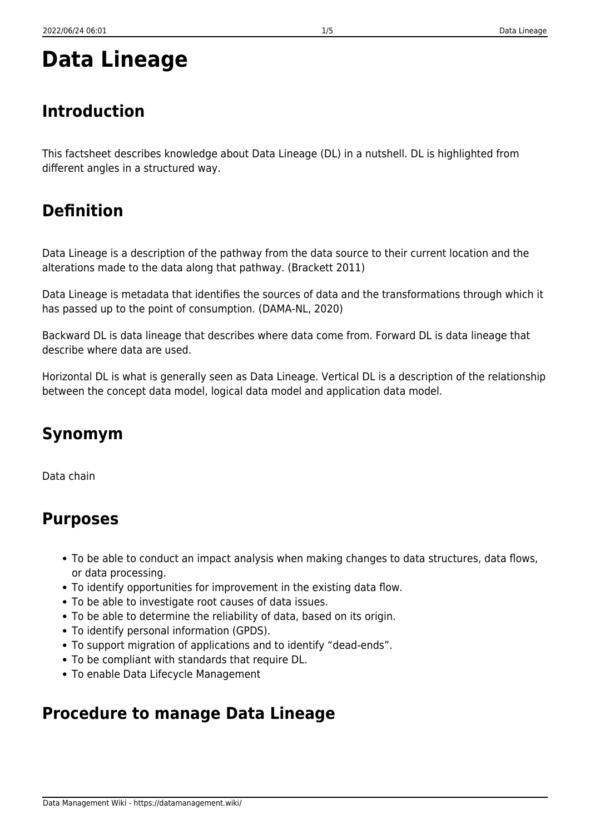Data Management Wiki - https://datamanagement.wiki/

## **Data Lineage**

#### **Introduction**

This factsheet describes knowledge about Data Lineage (DL) in a nutshell. DL is highlighted from different angles in a structured way.

### **Definition**

Data Lineage is a description of the pathway from the data source to their current location and the alterations made to the data along that pathway. (Brackett 2011)

Data Lineage is metadata that identifies the sources of data and the transformations through which it has passed up to the point of consumption. (DAMA-NL, 2020)

Backward DL is data lineage that describes where data come from. Forward DL is data lineage that describe where data are used.

Horizontal DL is what is generally seen as Data Lineage. Vertical DL is a description of the relationship between the concept data model, logical data model and application data model.

## **Synomym**

Data chain

#### **Purposes**

- To be able to conduct an impact analysis when making changes to data structures, data flows, or data processing.
- To identify opportunities for improvement in the existing data flow.
- To be able to investigate root causes of data issues.
- To be able to determine the reliability of data, based on its origin.
- To identify personal information (GPDS).
- To support migration of applications and to identify "dead-ends".
- To be compliant with standards that require DL.
- To enable Data Lifecycle Management

#### **Procedure to manage Data Lineage**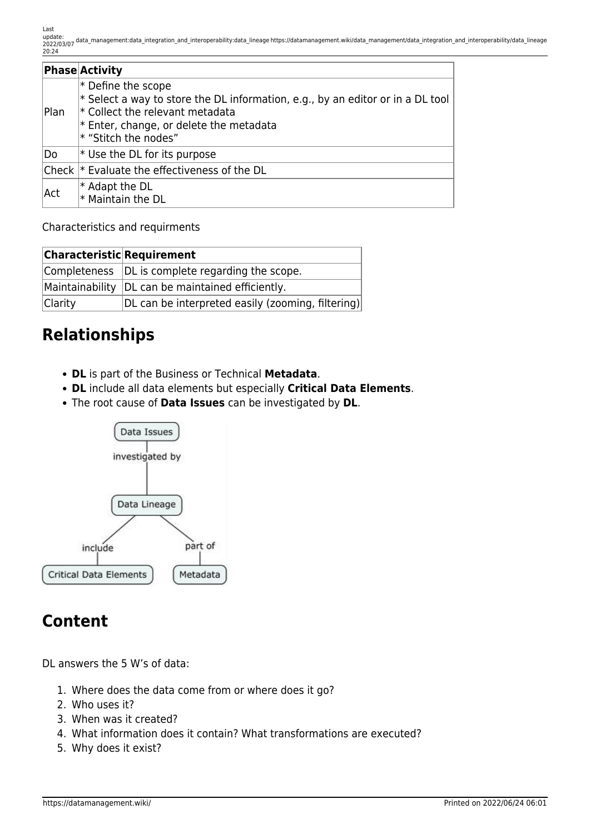|      | <b>Phase Activity</b>                                                                                                                                                                                               |
|------|---------------------------------------------------------------------------------------------------------------------------------------------------------------------------------------------------------------------|
| Plan | $*$ Define the scope<br>$*$ Select a way to store the DL information, e.g., by an editor or in a DL tool<br>$ *$ Collect the relevant metadata<br>$*$ Enter, change, or delete the metadata<br>* "Stitch the nodes" |
| Do   | $*$ Use the DL for its purpose                                                                                                                                                                                      |
|      | Check  * Evaluate the effectiveness of the DL                                                                                                                                                                       |
| Act  | $ *$ Adapt the DL<br>$ *$ Maintain the DL                                                                                                                                                                           |

Characteristics and requirments

| <b>Characteristic Requirement</b> |                                                     |  |  |
|-----------------------------------|-----------------------------------------------------|--|--|
|                                   | Completeness  DL is complete regarding the scope.   |  |  |
|                                   | Maintainability   DL can be maintained efficiently. |  |  |
| Clarity                           | DL can be interpreted easily (zooming, filtering)   |  |  |

#### **Relationships**

- **DL** is part of the Business or Technical **Metadata**.
- **DL** include all data elements but especially **Critical Data Elements**.
- The root cause of **Data Issues** can be investigated by **DL**.



#### **Content**

DL answers the 5 W's of data:

- 1. Where does the data come from or where does it go?
- 2. Who uses it?
- 3. When was it created?
- 4. What information does it contain? What transformations are executed?
- 5. Why does it exist?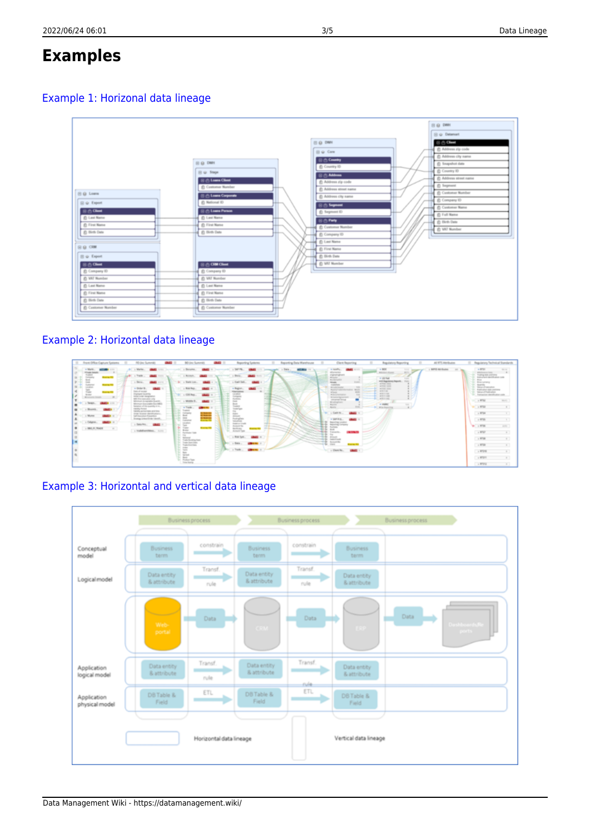# **Examples**

#### [Example 1: Horizonal data lineage](https://datamanagement.wiki/_media/data_management/data_integration_and_interoperability/horizontal_data_lineage.png)



#### [Example 2: Horizontal data lineage](https://datamanagement.wiki/_media/data_management/data_integration_and_interoperability/horizontal_data_lineage_2.png)



#### [Example 3: Horizontal and vertical data lineage](https://datamanagement.wiki/_media/data_management/data_integration_and_interoperability/horizontal_and_vertical_data_lineage.png)

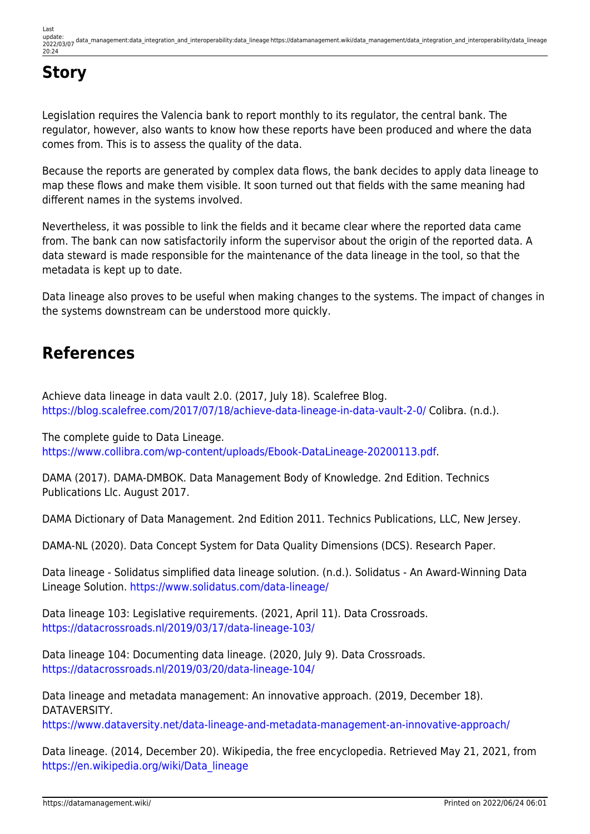## **Story**

Legislation requires the Valencia bank to report monthly to its regulator, the central bank. The regulator, however, also wants to know how these reports have been produced and where the data comes from. This is to assess the quality of the data.

Because the reports are generated by complex data flows, the bank decides to apply data lineage to map these flows and make them visible. It soon turned out that fields with the same meaning had different names in the systems involved.

Nevertheless, it was possible to link the fields and it became clear where the reported data came from. The bank can now satisfactorily inform the supervisor about the origin of the reported data. A data steward is made responsible for the maintenance of the data lineage in the tool, so that the metadata is kept up to date.

Data lineage also proves to be useful when making changes to the systems. The impact of changes in the systems downstream can be understood more quickly.

#### **References**

Achieve data lineage in data vault 2.0. (2017, July 18). Scalefree Blog. <https://blog.scalefree.com/2017/07/18/achieve-data-lineage-in-data-vault-2-0/>Colibra. (n.d.).

The complete guide to Data Lineage. <https://www.collibra.com/wp-content/uploads/Ebook-DataLineage-20200113.pdf>.

DAMA (2017). DAMA-DMBOK. Data Management Body of Knowledge. 2nd Edition. Technics Publications Llc. August 2017.

DAMA Dictionary of Data Management. 2nd Edition 2011. Technics Publications, LLC, New Jersey.

DAMA-NL (2020). Data Concept System for Data Quality Dimensions (DCS). Research Paper.

Data lineage - Solidatus simplified data lineage solution. (n.d.). Solidatus - An Award-Winning Data Lineage Solution.<https://www.solidatus.com/data-lineage/>

Data lineage 103: Legislative requirements. (2021, April 11). Data Crossroads. <https://datacrossroads.nl/2019/03/17/data-lineage-103/>

Data lineage 104: Documenting data lineage. (2020, July 9). Data Crossroads. <https://datacrossroads.nl/2019/03/20/data-lineage-104/>

Data lineage and metadata management: An innovative approach. (2019, December 18). DATAVERSITY.

<https://www.dataversity.net/data-lineage-and-metadata-management-an-innovative-approach/>

Data lineage. (2014, December 20). Wikipedia, the free encyclopedia. Retrieved May 21, 2021, from [https://en.wikipedia.org/wiki/Data\\_lineage](https://en.wikipedia.org/wiki/Data_lineage)